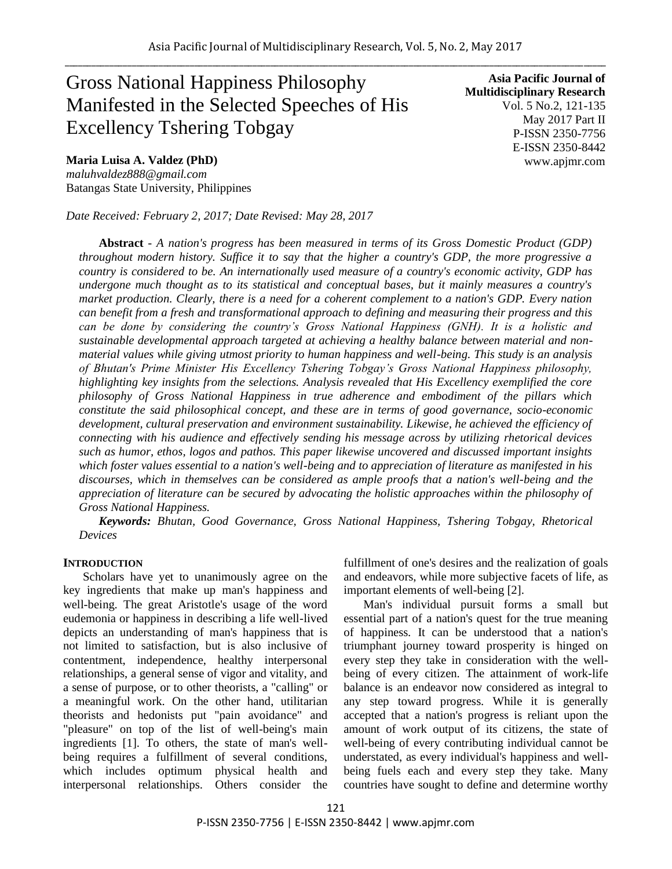# Gross National Happiness Philosophy Manifested in the Selected Speeches of His Excellency Tshering Tobgay

**Maria Luisa A. Valdez (PhD)**  *maluhvaldez888@gmail.com* Batangas State University, Philippines

*Date Received: February 2, 2017; Date Revised: May 28, 2017*

**Asia Pacific Journal of Multidisciplinary Research** Vol. 5 No.2, 121-135 May 2017 Part II P-ISSN 2350-7756 E-ISSN 2350-8442 www.apjmr.com

**Abstract** *- A nation's progress has been measured in terms of its Gross Domestic Product (GDP) throughout modern history. Suffice it to say that the higher a country's GDP, the more progressive a country is considered to be. An internationally used measure of a country's economic activity, GDP has undergone much thought as to its statistical and conceptual bases, but it mainly measures a country's market production. Clearly, there is a need for a coherent complement to a nation's GDP. Every nation can benefit from a fresh and transformational approach to defining and measuring their progress and this can be done by considering the country's Gross National Happiness (GNH). It is a holistic and sustainable developmental approach targeted at achieving a healthy balance between material and nonmaterial values while giving utmost priority to human happiness and well-being. This study is an analysis of Bhutan's Prime Minister His Excellency Tshering Tobgay's Gross National Happiness philosophy, highlighting key insights from the selections. Analysis revealed that His Excellency exemplified the core philosophy of Gross National Happiness in true adherence and embodiment of the pillars which constitute the said philosophical concept, and these are in terms of good governance, socio-economic development, cultural preservation and environment sustainability. Likewise, he achieved the efficiency of connecting with his audience and effectively sending his message across by utilizing rhetorical devices such as humor, ethos, logos and pathos. This paper likewise uncovered and discussed important insights which foster values essential to a nation's well-being and to appreciation of literature as manifested in his discourses, which in themselves can be considered as ample proofs that a nation's well-being and the appreciation of literature can be secured by advocating the holistic approaches within the philosophy of Gross National Happiness.*

*Keywords: Bhutan, Good Governance, Gross National Happiness, Tshering Tobgay, Rhetorical Devices*

### **INTRODUCTION**

Scholars have yet to unanimously agree on the key ingredients that make up man's happiness and well-being. The great Aristotle's usage of the word eudemonia or happiness in describing a life well-lived depicts an understanding of man's happiness that is not limited to satisfaction, but is also inclusive of contentment, independence, healthy interpersonal relationships, a general sense of vigor and vitality, and a sense of purpose, or to other theorists, a "calling" or a meaningful work. On the other hand, utilitarian theorists and hedonists put "pain avoidance" and "pleasure" on top of the list of well-being's main ingredients [1]. To others, the state of man's wellbeing requires a fulfillment of several conditions, which includes optimum physical health and interpersonal relationships. Others consider the

fulfillment of one's desires and the realization of goals and endeavors, while more subjective facets of life, as important elements of well-being [2].

Man's individual pursuit forms a small but essential part of a nation's quest for the true meaning of happiness. It can be understood that a nation's triumphant journey toward prosperity is hinged on every step they take in consideration with the wellbeing of every citizen. The attainment of work-life balance is an endeavor now considered as integral to any step toward progress. While it is generally accepted that a nation's progress is reliant upon the amount of work output of its citizens, the state of well-being of every contributing individual cannot be understated, as every individual's happiness and wellbeing fuels each and every step they take. Many countries have sought to define and determine worthy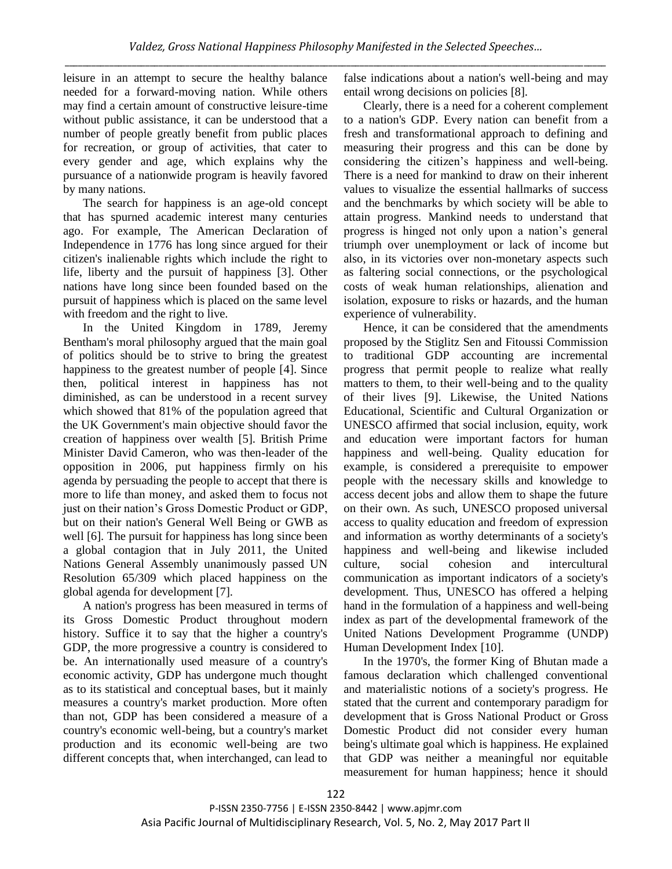leisure in an attempt to secure the healthy balance needed for a forward-moving nation. While others may find a certain amount of constructive leisure-time without public assistance, it can be understood that a number of people greatly benefit from public places for recreation, or group of activities, that cater to every gender and age, which explains why the pursuance of a nationwide program is heavily favored by many nations.

The search for happiness is an age-old concept that has spurned academic interest many centuries ago. For example, The American Declaration of Independence in 1776 has long since argued for their citizen's inalienable rights which include the right to life, liberty and the pursuit of happiness [3]. Other nations have long since been founded based on the pursuit of happiness which is placed on the same level with freedom and the right to live.

In the United Kingdom in 1789, Jeremy Bentham's moral philosophy argued that the main goal of politics should be to strive to bring the greatest happiness to the greatest number of people [4]. Since then, political interest in happiness has not diminished, as can be understood in a recent survey which showed that 81% of the population agreed that the UK Government's main objective should favor the creation of happiness over wealth [5]. British Prime Minister David Cameron, who was then-leader of the opposition in 2006, put happiness firmly on his agenda by persuading the people to accept that there is more to life than money, and asked them to focus not just on their nation's Gross Domestic Product or GDP. but on their nation's General Well Being or GWB as well [6]. The pursuit for happiness has long since been a global contagion that in July 2011, the United Nations General Assembly unanimously passed UN Resolution 65/309 which placed happiness on the global agenda for development [7].

A nation's progress has been measured in terms of its Gross Domestic Product throughout modern history. Suffice it to say that the higher a country's GDP, the more progressive a country is considered to be. An internationally used measure of a country's economic activity, GDP has undergone much thought as to its statistical and conceptual bases, but it mainly measures a country's market production. More often than not, GDP has been considered a measure of a country's economic well-being, but a country's market production and its economic well-being are two different concepts that, when interchanged, can lead to

false indications about a nation's well-being and may entail wrong decisions on policies [8].

Clearly, there is a need for a coherent complement to a nation's GDP. Every nation can benefit from a fresh and transformational approach to defining and measuring their progress and this can be done by considering the citizen's happiness and well-being. There is a need for mankind to draw on their inherent values to visualize the essential hallmarks of success and the benchmarks by which society will be able to attain progress. Mankind needs to understand that progress is hinged not only upon a nation's general triumph over unemployment or lack of income but also, in its victories over non-monetary aspects such as faltering social connections, or the psychological costs of weak human relationships, alienation and isolation, exposure to risks or hazards, and the human experience of vulnerability.

Hence, it can be considered that the amendments proposed by the Stiglitz Sen and Fitoussi Commission to traditional GDP accounting are incremental progress that permit people to realize what really matters to them, to their well-being and to the quality of their lives [9]. Likewise, the United Nations Educational, Scientific and Cultural Organization or UNESCO affirmed that social inclusion, equity, work and education were important factors for human happiness and well-being. Quality education for example, is considered a prerequisite to empower people with the necessary skills and knowledge to access decent jobs and allow them to shape the future on their own. As such, UNESCO proposed universal access to quality education and freedom of expression and information as worthy determinants of a society's happiness and well-being and likewise included culture, social cohesion and intercultural communication as important indicators of a society's development. Thus, UNESCO has offered a helping hand in the formulation of a happiness and well-being index as part of the developmental framework of the United Nations Development Programme (UNDP) Human Development Index [10].

In the 1970's, the former King of Bhutan made a famous declaration which challenged conventional and materialistic notions of a society's progress. He stated that the current and contemporary paradigm for development that is Gross National Product or Gross Domestic Product did not consider every human being's ultimate goal which is happiness. He explained that GDP was neither a meaningful nor equitable measurement for human happiness; hence it should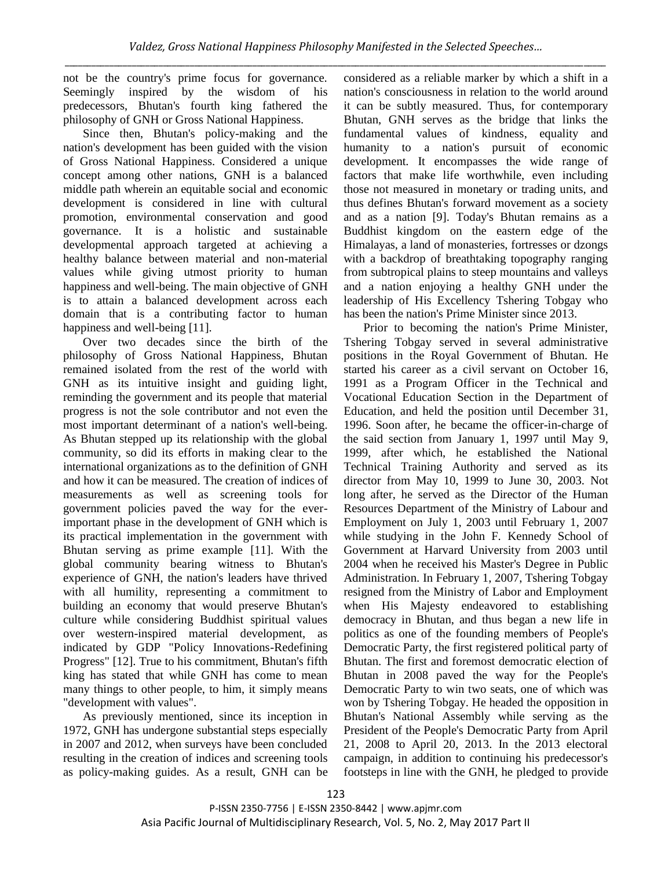not be the country's prime focus for governance. Seemingly inspired by the wisdom of his predecessors, Bhutan's fourth king fathered the philosophy of GNH or Gross National Happiness.

Since then, Bhutan's policy-making and the nation's development has been guided with the vision of Gross National Happiness. Considered a unique concept among other nations, GNH is a balanced middle path wherein an equitable social and economic development is considered in line with cultural promotion, environmental conservation and good governance. It is a holistic and sustainable developmental approach targeted at achieving a healthy balance between material and non-material values while giving utmost priority to human happiness and well-being. The main objective of GNH is to attain a balanced development across each domain that is a contributing factor to human happiness and well-being [11].

Over two decades since the birth of the philosophy of Gross National Happiness, Bhutan remained isolated from the rest of the world with GNH as its intuitive insight and guiding light, reminding the government and its people that material progress is not the sole contributor and not even the most important determinant of a nation's well-being. As Bhutan stepped up its relationship with the global community, so did its efforts in making clear to the international organizations as to the definition of GNH and how it can be measured. The creation of indices of measurements as well as screening tools for government policies paved the way for the everimportant phase in the development of GNH which is its practical implementation in the government with Bhutan serving as prime example [11]. With the global community bearing witness to Bhutan's experience of GNH, the nation's leaders have thrived with all humility, representing a commitment to building an economy that would preserve Bhutan's culture while considering Buddhist spiritual values over western-inspired material development, as indicated by GDP "Policy Innovations-Redefining Progress" [12]. True to his commitment, Bhutan's fifth king has stated that while GNH has come to mean many things to other people, to him, it simply means "development with values".

As previously mentioned, since its inception in 1972, GNH has undergone substantial steps especially in 2007 and 2012, when surveys have been concluded resulting in the creation of indices and screening tools as policy-making guides. As a result, GNH can be considered as a reliable marker by which a shift in a nation's consciousness in relation to the world around it can be subtly measured. Thus, for contemporary Bhutan, GNH serves as the bridge that links the fundamental values of kindness, equality and humanity to a nation's pursuit of economic development. It encompasses the wide range of factors that make life worthwhile, even including those not measured in monetary or trading units, and thus defines Bhutan's forward movement as a society and as a nation [9]. Today's Bhutan remains as a Buddhist kingdom on the eastern edge of the Himalayas, a land of monasteries, fortresses or dzongs with a backdrop of breathtaking topography ranging from subtropical plains to steep mountains and valleys and a nation enjoying a healthy GNH under the leadership of His Excellency Tshering Tobgay who has been the nation's Prime Minister since 2013.

Prior to becoming the nation's Prime Minister, Tshering Tobgay served in several administrative positions in the Royal Government of Bhutan. He started his career as a civil servant on October 16, 1991 as a Program Officer in the Technical and Vocational Education Section in the Department of Education, and held the position until December 31, 1996. Soon after, he became the officer-in-charge of the said section from January 1, 1997 until May 9, 1999, after which, he established the National Technical Training Authority and served as its director from May 10, 1999 to June 30, 2003. Not long after, he served as the Director of the Human Resources Department of the Ministry of Labour and Employment on July 1, 2003 until February 1, 2007 while studying in the John F. Kennedy School of Government at Harvard University from 2003 until 2004 when he received his Master's Degree in Public Administration. In February 1, 2007, Tshering Tobgay resigned from the Ministry of Labor and Employment when His Majesty endeavored to establishing democracy in Bhutan, and thus began a new life in politics as one of the founding members of People's Democratic Party, the first registered political party of Bhutan. The first and foremost democratic election of Bhutan in 2008 paved the way for the People's Democratic Party to win two seats, one of which was won by Tshering Tobgay. He headed the opposition in Bhutan's National Assembly while serving as the President of the People's Democratic Party from April 21, 2008 to April 20, 2013. In the 2013 electoral campaign, in addition to continuing his predecessor's footsteps in line with the GNH, he pledged to provide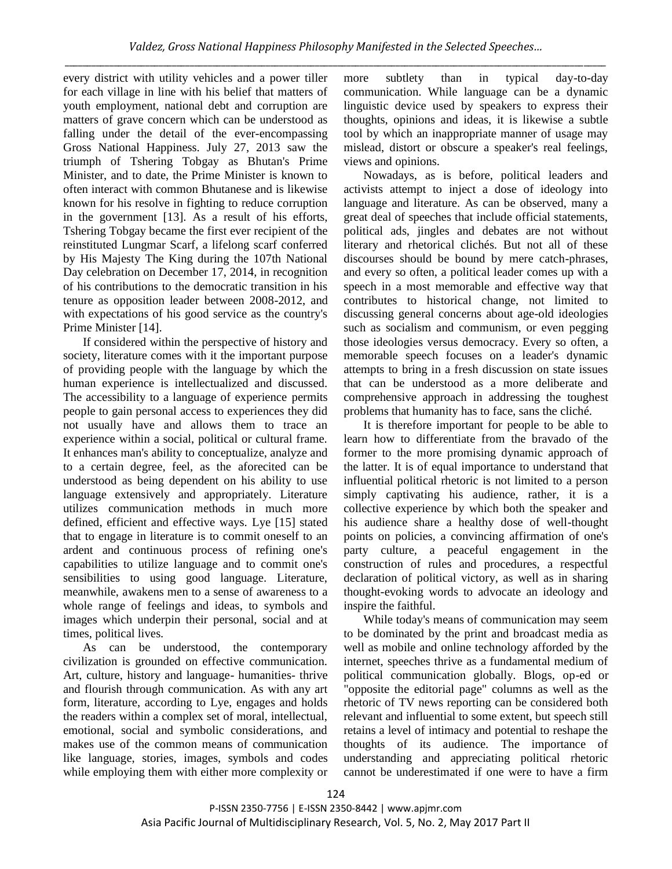every district with utility vehicles and a power tiller for each village in line with his belief that matters of youth employment, national debt and corruption are matters of grave concern which can be understood as falling under the detail of the ever-encompassing Gross National Happiness. July 27, 2013 saw the triumph of Tshering Tobgay as Bhutan's Prime Minister, and to date, the Prime Minister is known to often interact with common Bhutanese and is likewise known for his resolve in fighting to reduce corruption in the government [13]. As a result of his efforts, Tshering Tobgay became the first ever recipient of the reinstituted Lungmar Scarf, a lifelong scarf conferred by His Majesty The King during the 107th National Day celebration on December 17, 2014, in recognition of his contributions to the democratic transition in his tenure as opposition leader between 2008-2012, and with expectations of his good service as the country's Prime Minister [14].

If considered within the perspective of history and society, literature comes with it the important purpose of providing people with the language by which the human experience is intellectualized and discussed. The accessibility to a language of experience permits people to gain personal access to experiences they did not usually have and allows them to trace an experience within a social, political or cultural frame. It enhances man's ability to conceptualize, analyze and to a certain degree, feel, as the aforecited can be understood as being dependent on his ability to use language extensively and appropriately. Literature utilizes communication methods in much more defined, efficient and effective ways. Lye [15] stated that to engage in literature is to commit oneself to an ardent and continuous process of refining one's capabilities to utilize language and to commit one's sensibilities to using good language. Literature, meanwhile, awakens men to a sense of awareness to a whole range of feelings and ideas, to symbols and images which underpin their personal, social and at times, political lives.

As can be understood, the contemporary civilization is grounded on effective communication. Art, culture, history and language- humanities- thrive and flourish through communication. As with any art form, literature, according to Lye, engages and holds the readers within a complex set of moral, intellectual, emotional, social and symbolic considerations, and makes use of the common means of communication like language, stories, images, symbols and codes while employing them with either more complexity or

more subtlety than in typical day-to-day communication. While language can be a dynamic linguistic device used by speakers to express their thoughts, opinions and ideas, it is likewise a subtle tool by which an inappropriate manner of usage may mislead, distort or obscure a speaker's real feelings, views and opinions.

Nowadays, as is before, political leaders and activists attempt to inject a dose of ideology into language and literature. As can be observed, many a great deal of speeches that include official statements, political ads, jingles and debates are not without literary and rhetorical clichés. But not all of these discourses should be bound by mere catch-phrases, and every so often, a political leader comes up with a speech in a most memorable and effective way that contributes to historical change, not limited to discussing general concerns about age-old ideologies such as socialism and communism, or even pegging those ideologies versus democracy. Every so often, a memorable speech focuses on a leader's dynamic attempts to bring in a fresh discussion on state issues that can be understood as a more deliberate and comprehensive approach in addressing the toughest problems that humanity has to face, sans the cliché.

It is therefore important for people to be able to learn how to differentiate from the bravado of the former to the more promising dynamic approach of the latter. It is of equal importance to understand that influential political rhetoric is not limited to a person simply captivating his audience, rather, it is a collective experience by which both the speaker and his audience share a healthy dose of well-thought points on policies, a convincing affirmation of one's party culture, a peaceful engagement in the construction of rules and procedures, a respectful declaration of political victory, as well as in sharing thought-evoking words to advocate an ideology and inspire the faithful.

While today's means of communication may seem to be dominated by the print and broadcast media as well as mobile and online technology afforded by the internet, speeches thrive as a fundamental medium of political communication globally. Blogs, op-ed or "opposite the editorial page" columns as well as the rhetoric of TV news reporting can be considered both relevant and influential to some extent, but speech still retains a level of intimacy and potential to reshape the thoughts of its audience. The importance of understanding and appreciating political rhetoric cannot be underestimated if one were to have a firm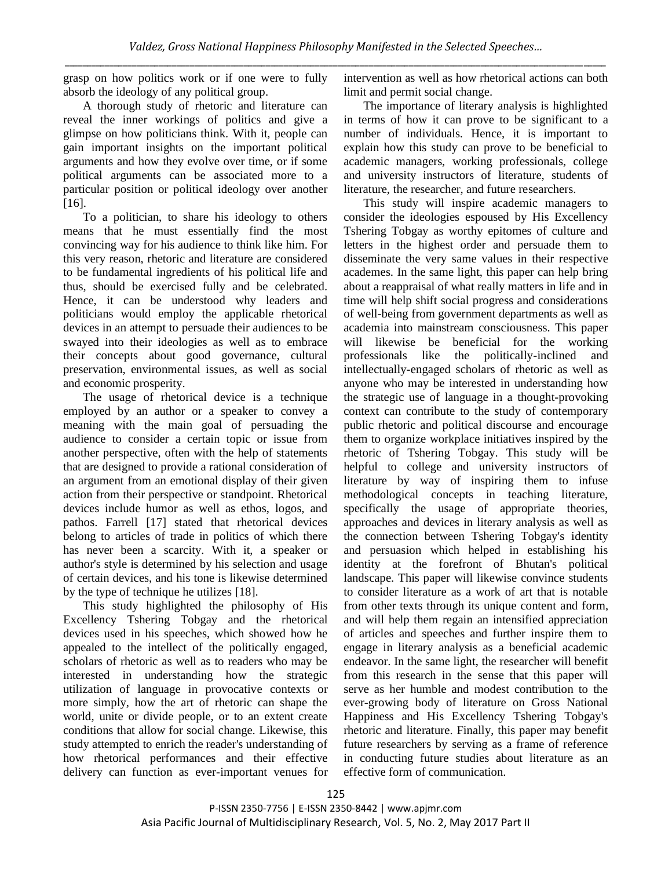grasp on how politics work or if one were to fully absorb the ideology of any political group.

A thorough study of rhetoric and literature can reveal the inner workings of politics and give a glimpse on how politicians think. With it, people can gain important insights on the important political arguments and how they evolve over time, or if some political arguments can be associated more to a particular position or political ideology over another [16].

To a politician, to share his ideology to others means that he must essentially find the most convincing way for his audience to think like him. For this very reason, rhetoric and literature are considered to be fundamental ingredients of his political life and thus, should be exercised fully and be celebrated. Hence, it can be understood why leaders and politicians would employ the applicable rhetorical devices in an attempt to persuade their audiences to be swayed into their ideologies as well as to embrace their concepts about good governance, cultural preservation, environmental issues, as well as social and economic prosperity.

The usage of rhetorical device is a technique employed by an author or a speaker to convey a meaning with the main goal of persuading the audience to consider a certain topic or issue from another perspective, often with the help of statements that are designed to provide a rational consideration of an argument from an emotional display of their given action from their perspective or standpoint. Rhetorical devices include humor as well as ethos, logos, and pathos. Farrell [17] stated that rhetorical devices belong to articles of trade in politics of which there has never been a scarcity. With it, a speaker or author's style is determined by his selection and usage of certain devices, and his tone is likewise determined by the type of technique he utilizes [18].

This study highlighted the philosophy of His Excellency Tshering Tobgay and the rhetorical devices used in his speeches, which showed how he appealed to the intellect of the politically engaged, scholars of rhetoric as well as to readers who may be interested in understanding how the strategic utilization of language in provocative contexts or more simply, how the art of rhetoric can shape the world, unite or divide people, or to an extent create conditions that allow for social change. Likewise, this study attempted to enrich the reader's understanding of how rhetorical performances and their effective delivery can function as ever-important venues for intervention as well as how rhetorical actions can both limit and permit social change.

The importance of literary analysis is highlighted in terms of how it can prove to be significant to a number of individuals. Hence, it is important to explain how this study can prove to be beneficial to academic managers, working professionals, college and university instructors of literature, students of literature, the researcher, and future researchers.

This study will inspire academic managers to consider the ideologies espoused by His Excellency Tshering Tobgay as worthy epitomes of culture and letters in the highest order and persuade them to disseminate the very same values in their respective academes. In the same light, this paper can help bring about a reappraisal of what really matters in life and in time will help shift social progress and considerations of well-being from government departments as well as academia into mainstream consciousness. This paper will likewise be beneficial for the working professionals like the politically-inclined and intellectually-engaged scholars of rhetoric as well as anyone who may be interested in understanding how the strategic use of language in a thought-provoking context can contribute to the study of contemporary public rhetoric and political discourse and encourage them to organize workplace initiatives inspired by the rhetoric of Tshering Tobgay. This study will be helpful to college and university instructors of literature by way of inspiring them to infuse methodological concepts in teaching literature, specifically the usage of appropriate theories, approaches and devices in literary analysis as well as the connection between Tshering Tobgay's identity and persuasion which helped in establishing his identity at the forefront of Bhutan's political landscape. This paper will likewise convince students to consider literature as a work of art that is notable from other texts through its unique content and form, and will help them regain an intensified appreciation of articles and speeches and further inspire them to engage in literary analysis as a beneficial academic endeavor. In the same light, the researcher will benefit from this research in the sense that this paper will serve as her humble and modest contribution to the ever-growing body of literature on Gross National Happiness and His Excellency Tshering Tobgay's rhetoric and literature. Finally, this paper may benefit future researchers by serving as a frame of reference in conducting future studies about literature as an effective form of communication.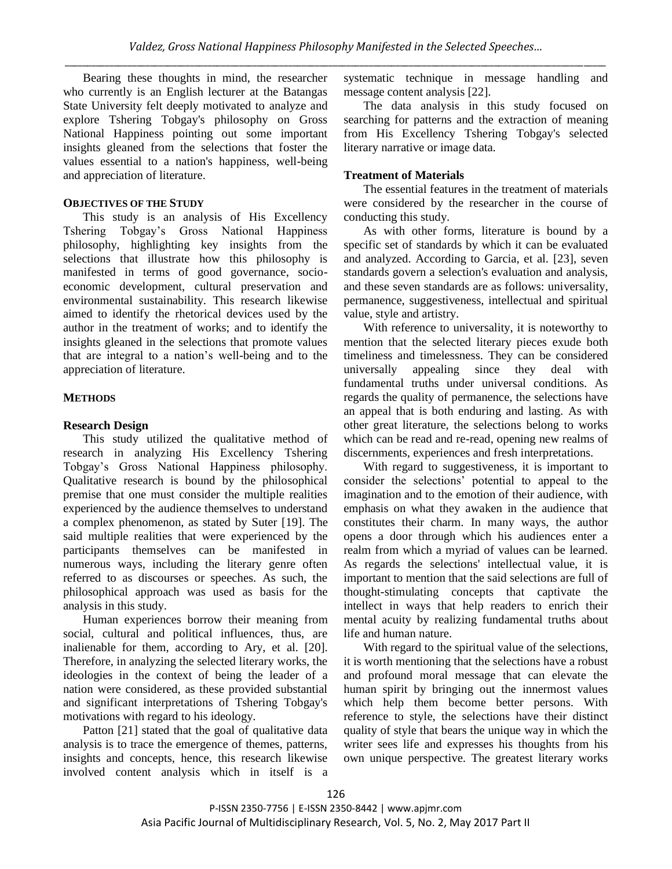Bearing these thoughts in mind, the researcher who currently is an English lecturer at the Batangas State University felt deeply motivated to analyze and explore Tshering Tobgay's philosophy on Gross National Happiness pointing out some important insights gleaned from the selections that foster the values essential to a nation's happiness, well-being and appreciation of literature.

### **OBJECTIVES OF THE STUDY**

This study is an analysis of His Excellency Tshering Tobgay's Gross National Happiness philosophy, highlighting key insights from the selections that illustrate how this philosophy is manifested in terms of good governance, socioeconomic development, cultural preservation and environmental sustainability. This research likewise aimed to identify the rhetorical devices used by the author in the treatment of works; and to identify the insights gleaned in the selections that promote values that are integral to a nation's well-being and to the appreciation of literature.

### **METHODS**

### **Research Design**

This study utilized the qualitative method of research in analyzing His Excellency Tshering Tobgay's Gross National Happiness philosophy. Qualitative research is bound by the philosophical premise that one must consider the multiple realities experienced by the audience themselves to understand a complex phenomenon, as stated by Suter [19]. The said multiple realities that were experienced by the participants themselves can be manifested in numerous ways, including the literary genre often referred to as discourses or speeches. As such, the philosophical approach was used as basis for the analysis in this study.

Human experiences borrow their meaning from social, cultural and political influences, thus, are inalienable for them, according to Ary, et al. [20]. Therefore, in analyzing the selected literary works, the ideologies in the context of being the leader of a nation were considered, as these provided substantial and significant interpretations of Tshering Tobgay's motivations with regard to his ideology.

Patton [21] stated that the goal of qualitative data analysis is to trace the emergence of themes, patterns, insights and concepts, hence, this research likewise involved content analysis which in itself is a systematic technique in message handling and message content analysis [22].

The data analysis in this study focused on searching for patterns and the extraction of meaning from His Excellency Tshering Tobgay's selected literary narrative or image data.

### **Treatment of Materials**

The essential features in the treatment of materials were considered by the researcher in the course of conducting this study.

As with other forms, literature is bound by a specific set of standards by which it can be evaluated and analyzed. According to Garcia, et al. [23], seven standards govern a selection's evaluation and analysis, and these seven standards are as follows: universality, permanence, suggestiveness, intellectual and spiritual value, style and artistry.

With reference to universality, it is noteworthy to mention that the selected literary pieces exude both timeliness and timelessness. They can be considered universally appealing since they deal with fundamental truths under universal conditions. As regards the quality of permanence, the selections have an appeal that is both enduring and lasting. As with other great literature, the selections belong to works which can be read and re-read, opening new realms of discernments, experiences and fresh interpretations.

With regard to suggestiveness, it is important to consider the selections' potential to appeal to the imagination and to the emotion of their audience, with emphasis on what they awaken in the audience that constitutes their charm. In many ways, the author opens a door through which his audiences enter a realm from which a myriad of values can be learned. As regards the selections' intellectual value, it is important to mention that the said selections are full of thought-stimulating concepts that captivate the intellect in ways that help readers to enrich their mental acuity by realizing fundamental truths about life and human nature.

With regard to the spiritual value of the selections, it is worth mentioning that the selections have a robust and profound moral message that can elevate the human spirit by bringing out the innermost values which help them become better persons. With reference to style, the selections have their distinct quality of style that bears the unique way in which the writer sees life and expresses his thoughts from his own unique perspective. The greatest literary works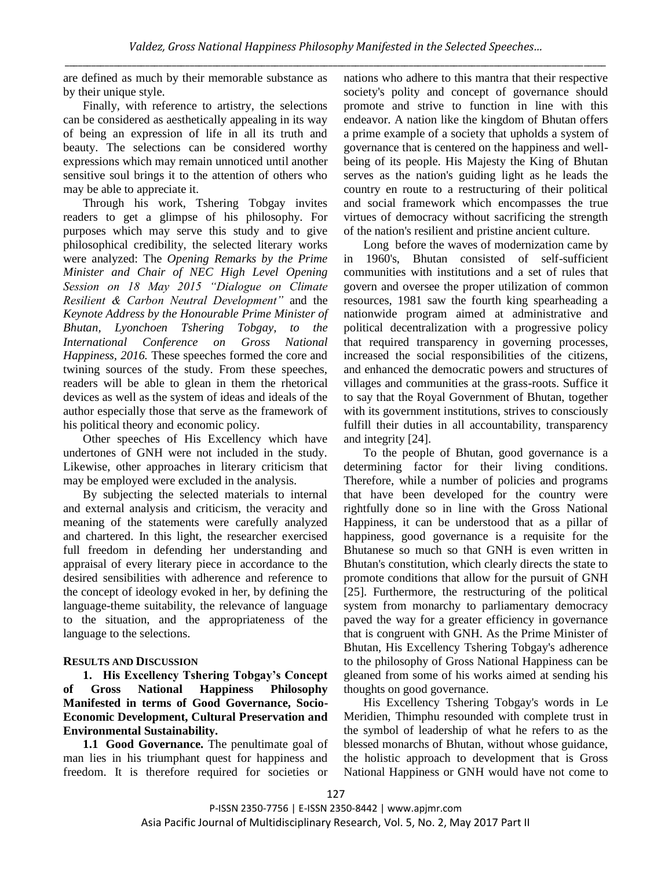are defined as much by their memorable substance as by their unique style.

Finally, with reference to artistry, the selections can be considered as aesthetically appealing in its way of being an expression of life in all its truth and beauty. The selections can be considered worthy expressions which may remain unnoticed until another sensitive soul brings it to the attention of others who may be able to appreciate it.

Through his work, Tshering Tobgay invites readers to get a glimpse of his philosophy. For purposes which may serve this study and to give philosophical credibility, the selected literary works were analyzed: The *Opening Remarks by the Prime Minister and Chair of NEC High Level Opening Session on 18 May 2015 "Dialogue on Climate Resilient & Carbon Neutral Development"* and the *Keynote Address by the Honourable Prime Minister of Bhutan, Lyonchoen Tshering Tobgay, to the International Conference on Gross National Happiness, 2016.* These speeches formed the core and twining sources of the study. From these speeches, readers will be able to glean in them the rhetorical devices as well as the system of ideas and ideals of the author especially those that serve as the framework of his political theory and economic policy.

Other speeches of His Excellency which have undertones of GNH were not included in the study. Likewise, other approaches in literary criticism that may be employed were excluded in the analysis.

By subjecting the selected materials to internal and external analysis and criticism, the veracity and meaning of the statements were carefully analyzed and chartered. In this light, the researcher exercised full freedom in defending her understanding and appraisal of every literary piece in accordance to the desired sensibilities with adherence and reference to the concept of ideology evoked in her, by defining the language-theme suitability, the relevance of language to the situation, and the appropriateness of the language to the selections.

## **RESULTS AND DISCUSSION**

**1. His Excellency Tshering Tobgay's Concept of Gross National Happiness Philosophy Manifested in terms of Good Governance, Socio-Economic Development, Cultural Preservation and Environmental Sustainability.**

**1.1 Good Governance.** The penultimate goal of man lies in his triumphant quest for happiness and freedom. It is therefore required for societies or nations who adhere to this mantra that their respective society's polity and concept of governance should promote and strive to function in line with this endeavor. A nation like the kingdom of Bhutan offers a prime example of a society that upholds a system of governance that is centered on the happiness and wellbeing of its people. His Majesty the King of Bhutan serves as the nation's guiding light as he leads the country en route to a restructuring of their political and social framework which encompasses the true virtues of democracy without sacrificing the strength of the nation's resilient and pristine ancient culture.

Long before the waves of modernization came by in 1960's, Bhutan consisted of self-sufficient communities with institutions and a set of rules that govern and oversee the proper utilization of common resources, 1981 saw the fourth king spearheading a nationwide program aimed at administrative and political decentralization with a progressive policy that required transparency in governing processes, increased the social responsibilities of the citizens, and enhanced the democratic powers and structures of villages and communities at the grass-roots. Suffice it to say that the Royal Government of Bhutan, together with its government institutions, strives to consciously fulfill their duties in all accountability, transparency and integrity [24].

To the people of Bhutan, good governance is a determining factor for their living conditions. Therefore, while a number of policies and programs that have been developed for the country were rightfully done so in line with the Gross National Happiness, it can be understood that as a pillar of happiness, good governance is a requisite for the Bhutanese so much so that GNH is even written in Bhutan's constitution, which clearly directs the state to promote conditions that allow for the pursuit of GNH [25]. Furthermore, the restructuring of the political system from monarchy to parliamentary democracy paved the way for a greater efficiency in governance that is congruent with GNH. As the Prime Minister of Bhutan, His Excellency Tshering Tobgay's adherence to the philosophy of Gross National Happiness can be gleaned from some of his works aimed at sending his thoughts on good governance.

His Excellency Tshering Tobgay's words in Le Meridien, Thimphu resounded with complete trust in the symbol of leadership of what he refers to as the blessed monarchs of Bhutan, without whose guidance, the holistic approach to development that is Gross National Happiness or GNH would have not come to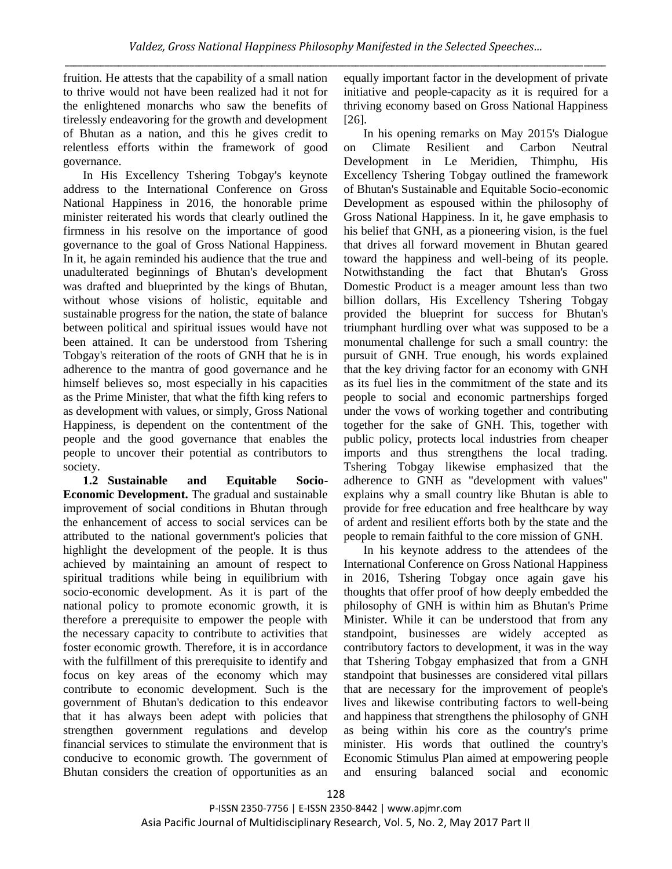fruition. He attests that the capability of a small nation to thrive would not have been realized had it not for the enlightened monarchs who saw the benefits of tirelessly endeavoring for the growth and development of Bhutan as a nation, and this he gives credit to relentless efforts within the framework of good governance.

In His Excellency Tshering Tobgay's keynote address to the International Conference on Gross National Happiness in 2016, the honorable prime minister reiterated his words that clearly outlined the firmness in his resolve on the importance of good governance to the goal of Gross National Happiness. In it, he again reminded his audience that the true and unadulterated beginnings of Bhutan's development was drafted and blueprinted by the kings of Bhutan, without whose visions of holistic, equitable and sustainable progress for the nation, the state of balance between political and spiritual issues would have not been attained. It can be understood from Tshering Tobgay's reiteration of the roots of GNH that he is in adherence to the mantra of good governance and he himself believes so, most especially in his capacities as the Prime Minister, that what the fifth king refers to as development with values, or simply, Gross National Happiness, is dependent on the contentment of the people and the good governance that enables the people to uncover their potential as contributors to society.

**1.2 Sustainable and Equitable Socio-Economic Development.** The gradual and sustainable improvement of social conditions in Bhutan through the enhancement of access to social services can be attributed to the national government's policies that highlight the development of the people. It is thus achieved by maintaining an amount of respect to spiritual traditions while being in equilibrium with socio-economic development. As it is part of the national policy to promote economic growth, it is therefore a prerequisite to empower the people with the necessary capacity to contribute to activities that foster economic growth. Therefore, it is in accordance with the fulfillment of this prerequisite to identify and focus on key areas of the economy which may contribute to economic development. Such is the government of Bhutan's dedication to this endeavor that it has always been adept with policies that strengthen government regulations and develop financial services to stimulate the environment that is conducive to economic growth. The government of Bhutan considers the creation of opportunities as an

equally important factor in the development of private initiative and people-capacity as it is required for a thriving economy based on Gross National Happiness [26].

In his opening remarks on May 2015's Dialogue on Climate Resilient and Carbon Neutral Development in Le Meridien, Thimphu, His Excellency Tshering Tobgay outlined the framework of Bhutan's Sustainable and Equitable Socio-economic Development as espoused within the philosophy of Gross National Happiness. In it, he gave emphasis to his belief that GNH, as a pioneering vision, is the fuel that drives all forward movement in Bhutan geared toward the happiness and well-being of its people. Notwithstanding the fact that Bhutan's Gross Domestic Product is a meager amount less than two billion dollars, His Excellency Tshering Tobgay provided the blueprint for success for Bhutan's triumphant hurdling over what was supposed to be a monumental challenge for such a small country: the pursuit of GNH. True enough, his words explained that the key driving factor for an economy with GNH as its fuel lies in the commitment of the state and its people to social and economic partnerships forged under the vows of working together and contributing together for the sake of GNH. This, together with public policy, protects local industries from cheaper imports and thus strengthens the local trading. Tshering Tobgay likewise emphasized that the adherence to GNH as "development with values" explains why a small country like Bhutan is able to provide for free education and free healthcare by way of ardent and resilient efforts both by the state and the people to remain faithful to the core mission of GNH.

In his keynote address to the attendees of the International Conference on Gross National Happiness in 2016, Tshering Tobgay once again gave his thoughts that offer proof of how deeply embedded the philosophy of GNH is within him as Bhutan's Prime Minister. While it can be understood that from any standpoint, businesses are widely accepted as contributory factors to development, it was in the way that Tshering Tobgay emphasized that from a GNH standpoint that businesses are considered vital pillars that are necessary for the improvement of people's lives and likewise contributing factors to well-being and happiness that strengthens the philosophy of GNH as being within his core as the country's prime minister. His words that outlined the country's Economic Stimulus Plan aimed at empowering people and ensuring balanced social and economic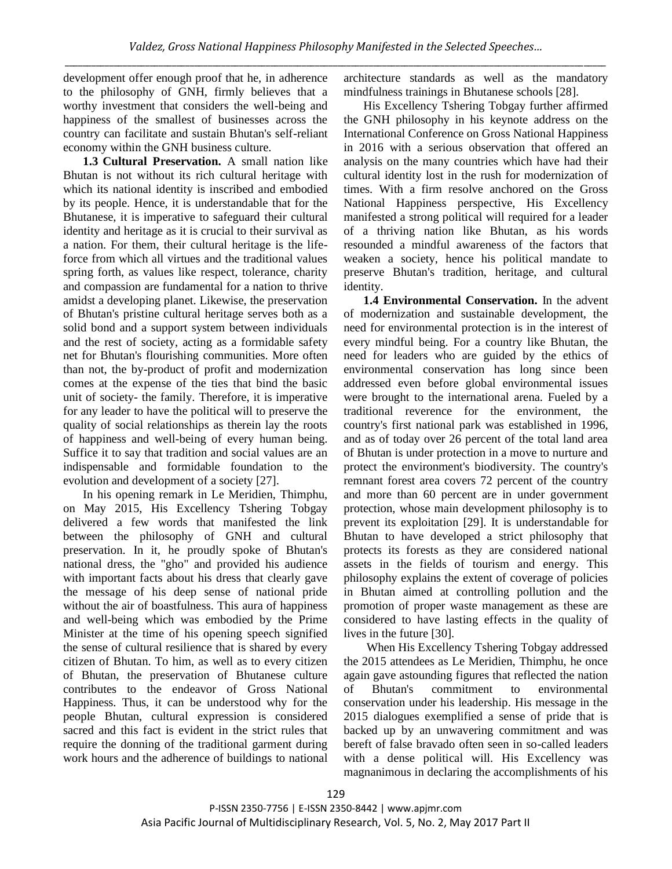development offer enough proof that he, in adherence to the philosophy of GNH, firmly believes that a worthy investment that considers the well-being and happiness of the smallest of businesses across the country can facilitate and sustain Bhutan's self-reliant economy within the GNH business culture.

**1.3 Cultural Preservation.** A small nation like Bhutan is not without its rich cultural heritage with which its national identity is inscribed and embodied by its people. Hence, it is understandable that for the Bhutanese, it is imperative to safeguard their cultural identity and heritage as it is crucial to their survival as a nation. For them, their cultural heritage is the lifeforce from which all virtues and the traditional values spring forth, as values like respect, tolerance, charity and compassion are fundamental for a nation to thrive amidst a developing planet. Likewise, the preservation of Bhutan's pristine cultural heritage serves both as a solid bond and a support system between individuals and the rest of society, acting as a formidable safety net for Bhutan's flourishing communities. More often than not, the by-product of profit and modernization comes at the expense of the ties that bind the basic unit of society- the family. Therefore, it is imperative for any leader to have the political will to preserve the quality of social relationships as therein lay the roots of happiness and well-being of every human being. Suffice it to say that tradition and social values are an indispensable and formidable foundation to the evolution and development of a society [27].

In his opening remark in Le Meridien, Thimphu, on May 2015, His Excellency Tshering Tobgay delivered a few words that manifested the link between the philosophy of GNH and cultural preservation. In it, he proudly spoke of Bhutan's national dress, the "gho" and provided his audience with important facts about his dress that clearly gave the message of his deep sense of national pride without the air of boastfulness. This aura of happiness and well-being which was embodied by the Prime Minister at the time of his opening speech signified the sense of cultural resilience that is shared by every citizen of Bhutan. To him, as well as to every citizen of Bhutan, the preservation of Bhutanese culture contributes to the endeavor of Gross National Happiness. Thus, it can be understood why for the people Bhutan, cultural expression is considered sacred and this fact is evident in the strict rules that require the donning of the traditional garment during work hours and the adherence of buildings to national

architecture standards as well as the mandatory mindfulness trainings in Bhutanese schools [28].

His Excellency Tshering Tobgay further affirmed the GNH philosophy in his keynote address on the International Conference on Gross National Happiness in 2016 with a serious observation that offered an analysis on the many countries which have had their cultural identity lost in the rush for modernization of times. With a firm resolve anchored on the Gross National Happiness perspective, His Excellency manifested a strong political will required for a leader of a thriving nation like Bhutan, as his words resounded a mindful awareness of the factors that weaken a society, hence his political mandate to preserve Bhutan's tradition, heritage, and cultural identity.

**1.4 Environmental Conservation.** In the advent of modernization and sustainable development, the need for environmental protection is in the interest of every mindful being. For a country like Bhutan, the need for leaders who are guided by the ethics of environmental conservation has long since been addressed even before global environmental issues were brought to the international arena. Fueled by a traditional reverence for the environment, the country's first national park was established in 1996, and as of today over 26 percent of the total land area of Bhutan is under protection in a move to nurture and protect the environment's biodiversity. The country's remnant forest area covers 72 percent of the country and more than 60 percent are in under government protection, whose main development philosophy is to prevent its exploitation [29]. It is understandable for Bhutan to have developed a strict philosophy that protects its forests as they are considered national assets in the fields of tourism and energy. This philosophy explains the extent of coverage of policies in Bhutan aimed at controlling pollution and the promotion of proper waste management as these are considered to have lasting effects in the quality of lives in the future [30].

When His Excellency Tshering Tobgay addressed the 2015 attendees as Le Meridien, Thimphu, he once again gave astounding figures that reflected the nation of Bhutan's commitment to environmental conservation under his leadership. His message in the 2015 dialogues exemplified a sense of pride that is backed up by an unwavering commitment and was bereft of false bravado often seen in so-called leaders with a dense political will. His Excellency was magnanimous in declaring the accomplishments of his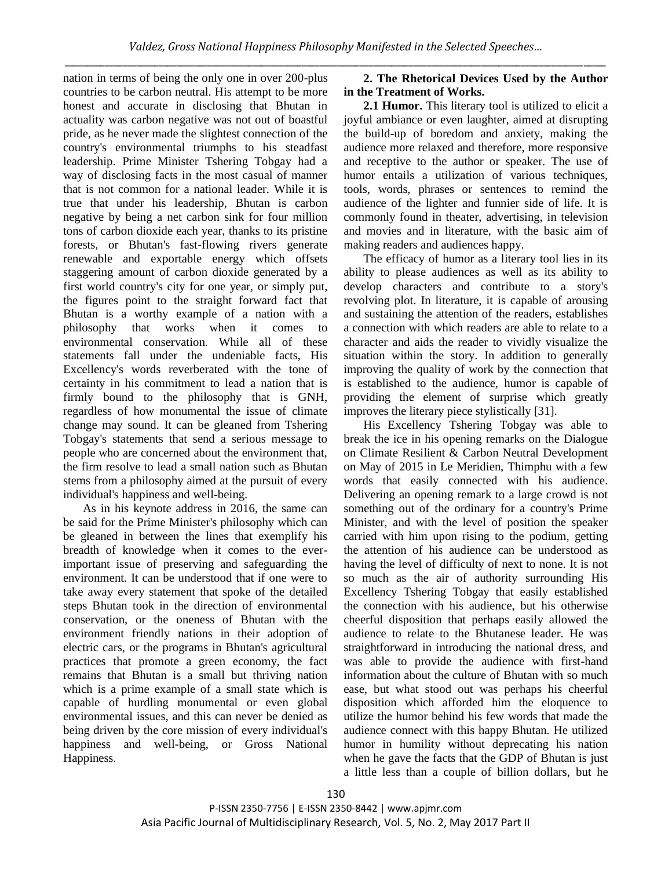nation in terms of being the only one in over 200-plus countries to be carbon neutral. His attempt to be more honest and accurate in disclosing that Bhutan in actuality was carbon negative was not out of boastful pride, as he never made the slightest connection of the country's environmental triumphs to his steadfast leadership. Prime Minister Tshering Tobgay had a way of disclosing facts in the most casual of manner that is not common for a national leader. While it is true that under his leadership, Bhutan is carbon negative by being a net carbon sink for four million tons of carbon dioxide each year, thanks to its pristine forests, or Bhutan's fast-flowing rivers generate renewable and exportable energy which offsets staggering amount of carbon dioxide generated by a first world country's city for one year, or simply put, the figures point to the straight forward fact that Bhutan is a worthy example of a nation with a philosophy that works when it comes to environmental conservation. While all of these statements fall under the undeniable facts, His Excellency's words reverberated with the tone of certainty in his commitment to lead a nation that is firmly bound to the philosophy that is GNH, regardless of how monumental the issue of climate change may sound. It can be gleaned from Tshering Tobgay's statements that send a serious message to people who are concerned about the environment that, the firm resolve to lead a small nation such as Bhutan stems from a philosophy aimed at the pursuit of every individual's happiness and well-being.

As in his keynote address in 2016, the same can be said for the Prime Minister's philosophy which can be gleaned in between the lines that exemplify his breadth of knowledge when it comes to the everimportant issue of preserving and safeguarding the environment. It can be understood that if one were to take away every statement that spoke of the detailed steps Bhutan took in the direction of environmental conservation, or the oneness of Bhutan with the environment friendly nations in their adoption of electric cars, or the programs in Bhutan's agricultural practices that promote a green economy, the fact remains that Bhutan is a small but thriving nation which is a prime example of a small state which is capable of hurdling monumental or even global environmental issues, and this can never be denied as being driven by the core mission of every individual's happiness and well-being, or Gross National Happiness.

# **2. The Rhetorical Devices Used by the Author in the Treatment of Works.**

**2.1 Humor.** This literary tool is utilized to elicit a joyful ambiance or even laughter, aimed at disrupting the build-up of boredom and anxiety, making the audience more relaxed and therefore, more responsive and receptive to the author or speaker. The use of humor entails a utilization of various techniques, tools, words, phrases or sentences to remind the audience of the lighter and funnier side of life. It is commonly found in theater, advertising, in television and movies and in literature, with the basic aim of making readers and audiences happy.

The efficacy of humor as a literary tool lies in its ability to please audiences as well as its ability to develop characters and contribute to a story's revolving plot. In literature, it is capable of arousing and sustaining the attention of the readers, establishes a connection with which readers are able to relate to a character and aids the reader to vividly visualize the situation within the story. In addition to generally improving the quality of work by the connection that is established to the audience, humor is capable of providing the element of surprise which greatly improves the literary piece stylistically [31].

His Excellency Tshering Tobgay was able to break the ice in his opening remarks on the Dialogue on Climate Resilient & Carbon Neutral Development on May of 2015 in Le Meridien, Thimphu with a few words that easily connected with his audience. Delivering an opening remark to a large crowd is not something out of the ordinary for a country's Prime Minister, and with the level of position the speaker carried with him upon rising to the podium, getting the attention of his audience can be understood as having the level of difficulty of next to none. It is not so much as the air of authority surrounding His Excellency Tshering Tobgay that easily established the connection with his audience, but his otherwise cheerful disposition that perhaps easily allowed the audience to relate to the Bhutanese leader. He was straightforward in introducing the national dress, and was able to provide the audience with first-hand information about the culture of Bhutan with so much ease, but what stood out was perhaps his cheerful disposition which afforded him the eloquence to utilize the humor behind his few words that made the audience connect with this happy Bhutan. He utilized humor in humility without deprecating his nation when he gave the facts that the GDP of Bhutan is just a little less than a couple of billion dollars, but he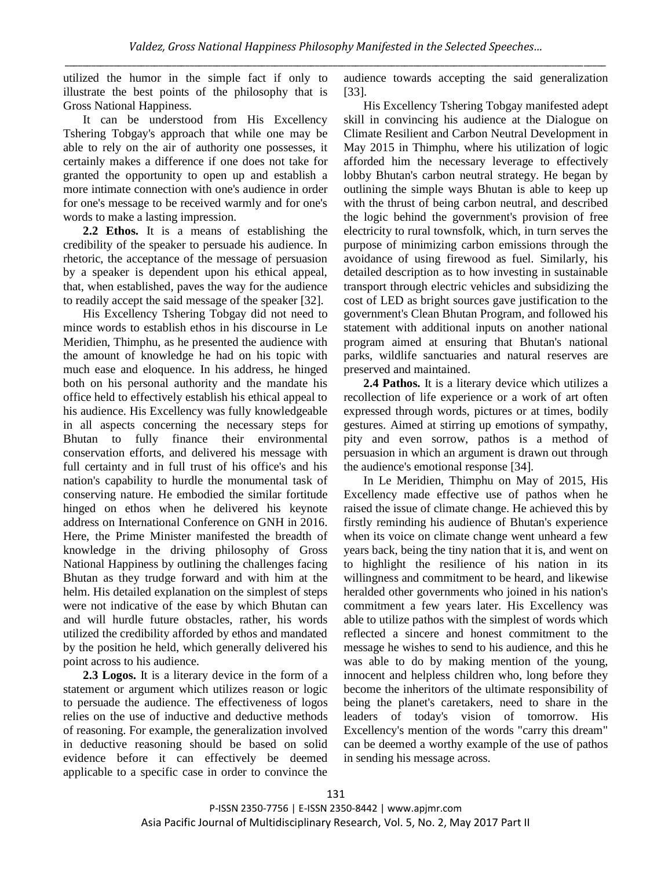utilized the humor in the simple fact if only to illustrate the best points of the philosophy that is Gross National Happiness.

It can be understood from His Excellency Tshering Tobgay's approach that while one may be able to rely on the air of authority one possesses, it certainly makes a difference if one does not take for granted the opportunity to open up and establish a more intimate connection with one's audience in order for one's message to be received warmly and for one's words to make a lasting impression.

**2.2 Ethos.** It is a means of establishing the credibility of the speaker to persuade his audience. In rhetoric, the acceptance of the message of persuasion by a speaker is dependent upon his ethical appeal, that, when established, paves the way for the audience to readily accept the said message of the speaker [32].

His Excellency Tshering Tobgay did not need to mince words to establish ethos in his discourse in Le Meridien, Thimphu, as he presented the audience with the amount of knowledge he had on his topic with much ease and eloquence. In his address, he hinged both on his personal authority and the mandate his office held to effectively establish his ethical appeal to his audience. His Excellency was fully knowledgeable in all aspects concerning the necessary steps for Bhutan to fully finance their environmental conservation efforts, and delivered his message with full certainty and in full trust of his office's and his nation's capability to hurdle the monumental task of conserving nature. He embodied the similar fortitude hinged on ethos when he delivered his keynote address on International Conference on GNH in 2016. Here, the Prime Minister manifested the breadth of knowledge in the driving philosophy of Gross National Happiness by outlining the challenges facing Bhutan as they trudge forward and with him at the helm. His detailed explanation on the simplest of steps were not indicative of the ease by which Bhutan can and will hurdle future obstacles, rather, his words utilized the credibility afforded by ethos and mandated by the position he held, which generally delivered his point across to his audience.

**2.3 Logos.** It is a literary device in the form of a statement or argument which utilizes reason or logic to persuade the audience. The effectiveness of logos relies on the use of inductive and deductive methods of reasoning. For example, the generalization involved in deductive reasoning should be based on solid evidence before it can effectively be deemed applicable to a specific case in order to convince the

audience towards accepting the said generalization [33].

His Excellency Tshering Tobgay manifested adept skill in convincing his audience at the Dialogue on Climate Resilient and Carbon Neutral Development in May 2015 in Thimphu, where his utilization of logic afforded him the necessary leverage to effectively lobby Bhutan's carbon neutral strategy. He began by outlining the simple ways Bhutan is able to keep up with the thrust of being carbon neutral, and described the logic behind the government's provision of free electricity to rural townsfolk, which, in turn serves the purpose of minimizing carbon emissions through the avoidance of using firewood as fuel. Similarly, his detailed description as to how investing in sustainable transport through electric vehicles and subsidizing the cost of LED as bright sources gave justification to the government's Clean Bhutan Program, and followed his statement with additional inputs on another national program aimed at ensuring that Bhutan's national parks, wildlife sanctuaries and natural reserves are preserved and maintained.

**2.4 Pathos.** It is a literary device which utilizes a recollection of life experience or a work of art often expressed through words, pictures or at times, bodily gestures. Aimed at stirring up emotions of sympathy, pity and even sorrow, pathos is a method of persuasion in which an argument is drawn out through the audience's emotional response [34].

In Le Meridien, Thimphu on May of 2015, His Excellency made effective use of pathos when he raised the issue of climate change. He achieved this by firstly reminding his audience of Bhutan's experience when its voice on climate change went unheard a few years back, being the tiny nation that it is, and went on to highlight the resilience of his nation in its willingness and commitment to be heard, and likewise heralded other governments who joined in his nation's commitment a few years later. His Excellency was able to utilize pathos with the simplest of words which reflected a sincere and honest commitment to the message he wishes to send to his audience, and this he was able to do by making mention of the young, innocent and helpless children who, long before they become the inheritors of the ultimate responsibility of being the planet's caretakers, need to share in the leaders of today's vision of tomorrow. His Excellency's mention of the words "carry this dream" can be deemed a worthy example of the use of pathos in sending his message across.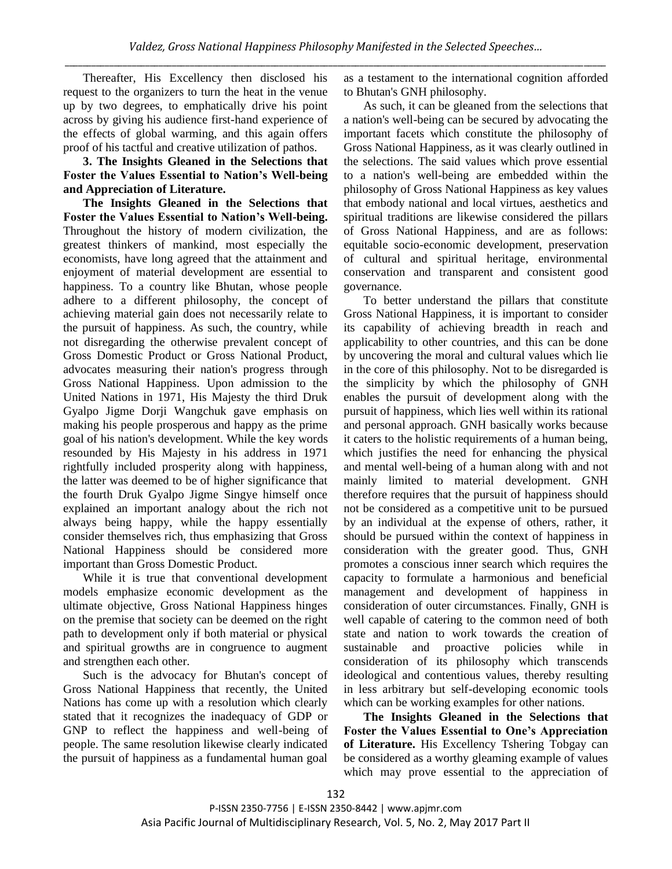Thereafter, His Excellency then disclosed his request to the organizers to turn the heat in the venue up by two degrees, to emphatically drive his point across by giving his audience first-hand experience of the effects of global warming, and this again offers proof of his tactful and creative utilization of pathos.

**3. The Insights Gleaned in the Selections that Foster the Values Essential to Nation's Well-being and Appreciation of Literature.**

**The Insights Gleaned in the Selections that Foster the Values Essential to Nation's Well-being.** Throughout the history of modern civilization, the greatest thinkers of mankind, most especially the economists, have long agreed that the attainment and enjoyment of material development are essential to happiness. To a country like Bhutan, whose people adhere to a different philosophy, the concept of achieving material gain does not necessarily relate to the pursuit of happiness. As such, the country, while not disregarding the otherwise prevalent concept of Gross Domestic Product or Gross National Product, advocates measuring their nation's progress through Gross National Happiness. Upon admission to the United Nations in 1971, His Majesty the third Druk Gyalpo Jigme Dorji Wangchuk gave emphasis on making his people prosperous and happy as the prime goal of his nation's development. While the key words resounded by His Majesty in his address in 1971 rightfully included prosperity along with happiness, the latter was deemed to be of higher significance that the fourth Druk Gyalpo Jigme Singye himself once explained an important analogy about the rich not always being happy, while the happy essentially consider themselves rich, thus emphasizing that Gross National Happiness should be considered more important than Gross Domestic Product.

While it is true that conventional development models emphasize economic development as the ultimate objective, Gross National Happiness hinges on the premise that society can be deemed on the right path to development only if both material or physical and spiritual growths are in congruence to augment and strengthen each other.

Such is the advocacy for Bhutan's concept of Gross National Happiness that recently, the United Nations has come up with a resolution which clearly stated that it recognizes the inadequacy of GDP or GNP to reflect the happiness and well-being of people. The same resolution likewise clearly indicated the pursuit of happiness as a fundamental human goal as a testament to the international cognition afforded to Bhutan's GNH philosophy.

As such, it can be gleaned from the selections that a nation's well-being can be secured by advocating the important facets which constitute the philosophy of Gross National Happiness, as it was clearly outlined in the selections. The said values which prove essential to a nation's well-being are embedded within the philosophy of Gross National Happiness as key values that embody national and local virtues, aesthetics and spiritual traditions are likewise considered the pillars of Gross National Happiness, and are as follows: equitable socio-economic development, preservation of cultural and spiritual heritage, environmental conservation and transparent and consistent good governance.

To better understand the pillars that constitute Gross National Happiness, it is important to consider its capability of achieving breadth in reach and applicability to other countries, and this can be done by uncovering the moral and cultural values which lie in the core of this philosophy. Not to be disregarded is the simplicity by which the philosophy of GNH enables the pursuit of development along with the pursuit of happiness, which lies well within its rational and personal approach. GNH basically works because it caters to the holistic requirements of a human being, which justifies the need for enhancing the physical and mental well-being of a human along with and not mainly limited to material development. GNH therefore requires that the pursuit of happiness should not be considered as a competitive unit to be pursued by an individual at the expense of others, rather, it should be pursued within the context of happiness in consideration with the greater good. Thus, GNH promotes a conscious inner search which requires the capacity to formulate a harmonious and beneficial management and development of happiness in consideration of outer circumstances. Finally, GNH is well capable of catering to the common need of both state and nation to work towards the creation of sustainable and proactive policies while in consideration of its philosophy which transcends ideological and contentious values, thereby resulting in less arbitrary but self-developing economic tools which can be working examples for other nations.

**The Insights Gleaned in the Selections that Foster the Values Essential to One's Appreciation of Literature.** His Excellency Tshering Tobgay can be considered as a worthy gleaming example of values which may prove essential to the appreciation of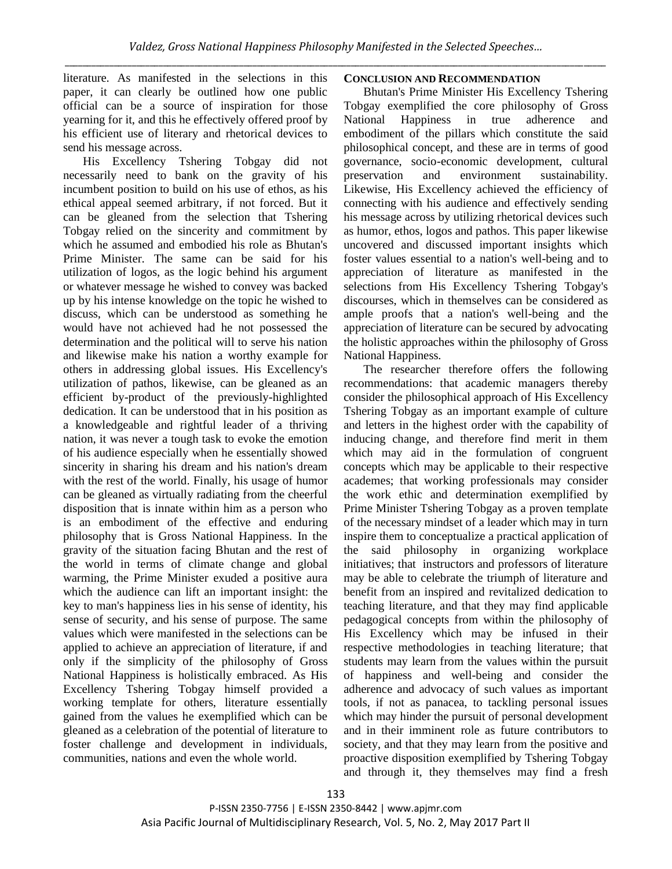# literature. As manifested in the selections in this paper, it can clearly be outlined how one public official can be a source of inspiration for those yearning for it, and this he effectively offered proof by his efficient use of literary and rhetorical devices to send his message across.

His Excellency Tshering Tobgay did not necessarily need to bank on the gravity of his incumbent position to build on his use of ethos, as his ethical appeal seemed arbitrary, if not forced. But it can be gleaned from the selection that Tshering Tobgay relied on the sincerity and commitment by which he assumed and embodied his role as Bhutan's Prime Minister. The same can be said for his utilization of logos, as the logic behind his argument or whatever message he wished to convey was backed up by his intense knowledge on the topic he wished to discuss, which can be understood as something he would have not achieved had he not possessed the determination and the political will to serve his nation and likewise make his nation a worthy example for others in addressing global issues. His Excellency's utilization of pathos, likewise, can be gleaned as an efficient by-product of the previously-highlighted dedication. It can be understood that in his position as a knowledgeable and rightful leader of a thriving nation, it was never a tough task to evoke the emotion of his audience especially when he essentially showed sincerity in sharing his dream and his nation's dream with the rest of the world. Finally, his usage of humor can be gleaned as virtually radiating from the cheerful disposition that is innate within him as a person who is an embodiment of the effective and enduring philosophy that is Gross National Happiness. In the gravity of the situation facing Bhutan and the rest of the world in terms of climate change and global warming, the Prime Minister exuded a positive aura which the audience can lift an important insight: the key to man's happiness lies in his sense of identity, his sense of security, and his sense of purpose. The same values which were manifested in the selections can be applied to achieve an appreciation of literature, if and only if the simplicity of the philosophy of Gross National Happiness is holistically embraced. As His Excellency Tshering Tobgay himself provided a working template for others, literature essentially gained from the values he exemplified which can be gleaned as a celebration of the potential of literature to foster challenge and development in individuals, communities, nations and even the whole world.

### **CONCLUSION AND RECOMMENDATION**

Bhutan's Prime Minister His Excellency Tshering Tobgay exemplified the core philosophy of Gross National Happiness in true adherence and embodiment of the pillars which constitute the said philosophical concept, and these are in terms of good governance, socio-economic development, cultural preservation and environment sustainability. Likewise, His Excellency achieved the efficiency of connecting with his audience and effectively sending his message across by utilizing rhetorical devices such as humor, ethos, logos and pathos. This paper likewise uncovered and discussed important insights which foster values essential to a nation's well-being and to appreciation of literature as manifested in the selections from His Excellency Tshering Tobgay's discourses, which in themselves can be considered as ample proofs that a nation's well-being and the appreciation of literature can be secured by advocating the holistic approaches within the philosophy of Gross National Happiness.

The researcher therefore offers the following recommendations: that academic managers thereby consider the philosophical approach of His Excellency Tshering Tobgay as an important example of culture and letters in the highest order with the capability of inducing change, and therefore find merit in them which may aid in the formulation of congruent concepts which may be applicable to their respective academes; that working professionals may consider the work ethic and determination exemplified by Prime Minister Tshering Tobgay as a proven template of the necessary mindset of a leader which may in turn inspire them to conceptualize a practical application of the said philosophy in organizing workplace initiatives; that instructors and professors of literature may be able to celebrate the triumph of literature and benefit from an inspired and revitalized dedication to teaching literature, and that they may find applicable pedagogical concepts from within the philosophy of His Excellency which may be infused in their respective methodologies in teaching literature; that students may learn from the values within the pursuit of happiness and well-being and consider the adherence and advocacy of such values as important tools, if not as panacea, to tackling personal issues which may hinder the pursuit of personal development and in their imminent role as future contributors to society, and that they may learn from the positive and proactive disposition exemplified by Tshering Tobgay and through it, they themselves may find a fresh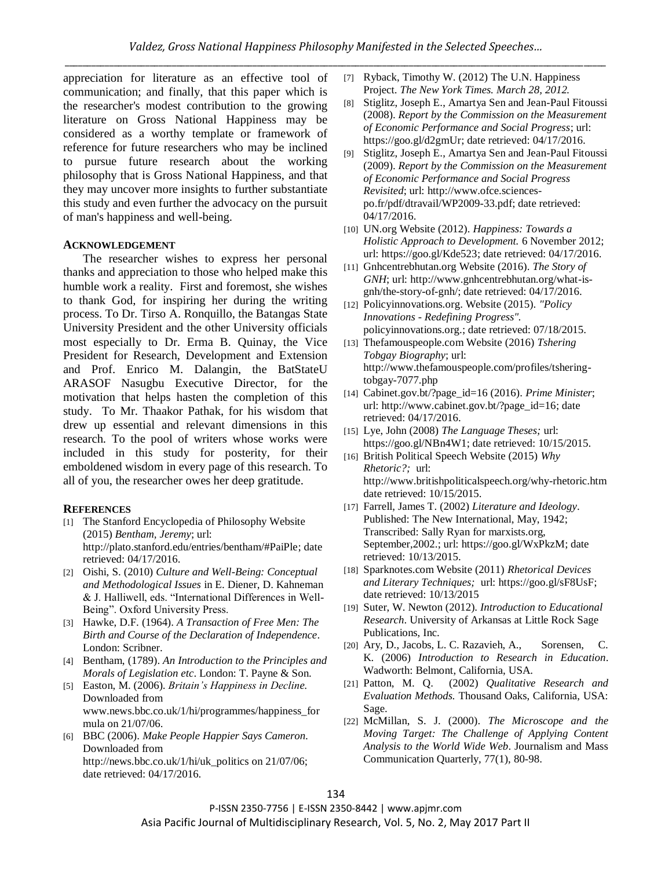appreciation for literature as an effective tool of communication; and finally, that this paper which is the researcher's modest contribution to the growing literature on Gross National Happiness may be considered as a worthy template or framework of reference for future researchers who may be inclined to pursue future research about the working philosophy that is Gross National Happiness, and that they may uncover more insights to further substantiate this study and even further the advocacy on the pursuit of man's happiness and well-being.

### **ACKNOWLEDGEMENT**

The researcher wishes to express her personal thanks and appreciation to those who helped make this humble work a reality. First and foremost, she wishes to thank God, for inspiring her during the writing process. To Dr. Tirso A. Ronquillo, the Batangas State University President and the other University officials most especially to Dr. Erma B. Quinay, the Vice President for Research, Development and Extension and Prof. Enrico M. Dalangin, the BatStateU ARASOF Nasugbu Executive Director, for the motivation that helps hasten the completion of this study. To Mr. Thaakor Pathak, for his wisdom that drew up essential and relevant dimensions in this research. To the pool of writers whose works were included in this study for posterity, for their emboldened wisdom in every page of this research. To all of you, the researcher owes her deep gratitude.

#### **REFERENCES**

- [1] The Stanford Encyclopedia of Philosophy Website (2015) *Bentham, Jeremy*; url: [http://plato.stanford.edu/entries/bentham/#PaiPle;](http://plato.stanford.edu/entries/bentham/#PaiPle) date retrieved: 04/17/2016.
- [2] Oishi, S. (2010) *Culture and Well-Being: Conceptual and Methodological Issues* in E. Diener, D. Kahneman & J. Halliwell, eds. "International Differences in Well-Being". Oxford University Press.
- [3] Hawke, D.F. (1964). *A Transaction of Free Men: The Birth and Course of the Declaration of Independence*. London: Scribner.
- [4] Bentham, (1789). *An Introduction to the Principles and Morals of Legislation etc*. London: T. Payne & Son.
- [5] Easton, M. (2006). *Britain's Happiness in Decline.* Downloaded from www.news.bbc.co.uk/1/hi/programmes/happiness\_for mula on 21/07/06.
- [6] BBC (2006). *Make People Happier Says Cameron.* Downloaded from [http://news.bbc.co.uk/1/hi/uk\\_politics on 21/07/06;](http://news.bbc.co.uk/1/hi/uk_politics%20on%2021/07/06) date retrieved: 04/17/2016.
- [7] Ryback, Timothy W. (2012) The U.N. Happiness Project*. The New York Times. March 28, 2012.*
- [8] Stiglitz, Joseph E., Amartya Sen and Jean-Paul Fitoussi (2008). *Report by the Commission on the Measurement of Economic Performance and Social Progress*; url: https://goo.gl/d2gmUr; date retrieved: 04/17/2016.
- [9] Stiglitz, Joseph E., Amartya Sen and Jean-Paul Fitoussi (2009). *Report by the Commission on the Measurement of Economic Performance and Social Progress Revisited*; url: http://www.ofce.sciencespo.fr/pdf/dtravail/WP2009-33.pdf; date retrieved: 04/17/2016.
- [10] UN.org Website (2012). *Happiness: Towards a Holistic Approach to Development.* 6 November 2012; url: https://goo.gl/Kde523; date retrieved: 04/17/2016.
- [11] Gnhcentrebhutan.org Website (2016). *The Story of GNH*; url: http://www.gnhcentrebhutan.org/what-isgnh/the-story-of-gnh/; date retrieved: 04/17/2016.
- [12] Policyinnovations.org. Website (2015). *"Policy Innovations - Redefining Progress".*  policyinnovations.org.; date retrieved: 07/18/2015.
- [13] [Thefamouspeople.com Website](http://www.thefamouspeople.com/profiles/tshering-tobgay-7077.php) (2016) *Tshering Tobgay Biography*; url: [http://www.thefamouspeople.com/profiles/tshering](http://www.thefamouspeople.com/profiles/tshering-tobgay-7077.php)[tobgay-7077.php](http://www.thefamouspeople.com/profiles/tshering-tobgay-7077.php)
- [14] Cabinet.gov.bt/?page\_id=16 (2016). *Prime Minister*; url[: http://www.cabinet.gov.bt/?page\\_id=16;](http://www.cabinet.gov.bt/?page_id=16) date retrieved: 04/17/2016.
- [15] Lye, John (2008) *The Language Theses;* url: https://goo.gl/NBn4W1; date retrieved: 10/15/2015.
- [16] British Political Speech Website (2015) *Why Rhetoric?;* url: http://www.britishpoliticalspeech.org/why-rhetoric.htm date retrieved: 10/15/2015.
- [17] Farrell, James T. (2002) *Literature and Ideology*. Published: The New International, May, 1942; Transcribed: Sally Ryan for marxists.org, September,2002.; url: https://goo.gl/WxPkzM; date retrieved: 10/13/2015.
- [18] Sparknotes.com Website (2011) *Rhetorical Devices and Literary Techniques;* url: https://goo.gl/sF8UsF; date retrieved: 10/13/2015
- [19] Suter, W. Newton (2012). *Introduction to Educational Research*. University of Arkansas at Little Rock Sage Publications, Inc.
- [20] Ary, D., Jacobs, L. C. Razavieh, A., Sorensen, C. K. (2006) *Introduction to Research in Education*. Wadworth: Belmont, California, USA.
- [21] Patton, M. Q. (2002) *Qualitative Research and Evaluation Methods.* Thousand Oaks, California, USA: Sage.
- [22] McMillan, S. J. (2000). *The Microscope and the Moving Target: The Challenge of Applying Content Analysis to the World Wide Web*. Journalism and Mass Communication Quarterly, 77(1), 80-98.

P-ISSN 2350-7756 | E-ISSN 2350-8442 | www.apjmr.com Asia Pacific Journal of Multidisciplinary Research, Vol. 5, No. 2, May 2017 Part II